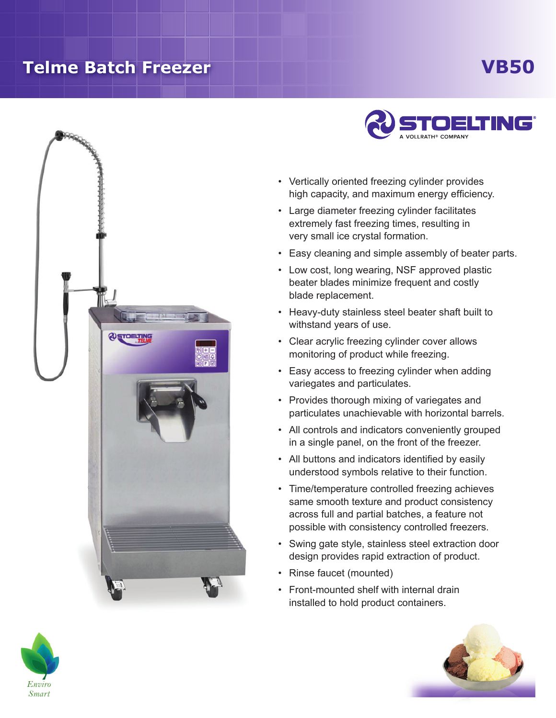## **Telme Batch Freezer**

## **VB50**





- Vertically oriented freezing cylinder provides high capacity, and maximum energy efficiency.
- Large diameter freezing cylinder facilitates extremely fast freezing times, resulting in very small ice crystal formation.
- Easy cleaning and simple assembly of beater parts.
- Low cost, long wearing, NSF approved plastic beater blades minimize frequent and costly blade replacement.
- Heavy-duty stainless steel beater shaft built to withstand years of use.
- Clear acrylic freezing cylinder cover allows monitoring of product while freezing.
- Easy access to freezing cylinder when adding variegates and particulates.
- Provides thorough mixing of variegates and particulates unachievable with horizontal barrels.
- All controls and indicators conveniently grouped in a single panel, on the front of the freezer.
- All buttons and indicators identified by easily understood symbols relative to their function.
- • Time/temperature controlled freezing achieves same smooth texture and product consistency across full and partial batches, a feature not possible with consistency controlled freezers.
- Swing gate style, stainless steel extraction door design provides rapid extraction of product.
- Rinse faucet (mounted)
- • Front-mounted shelf with internal drain installed to hold product containers.